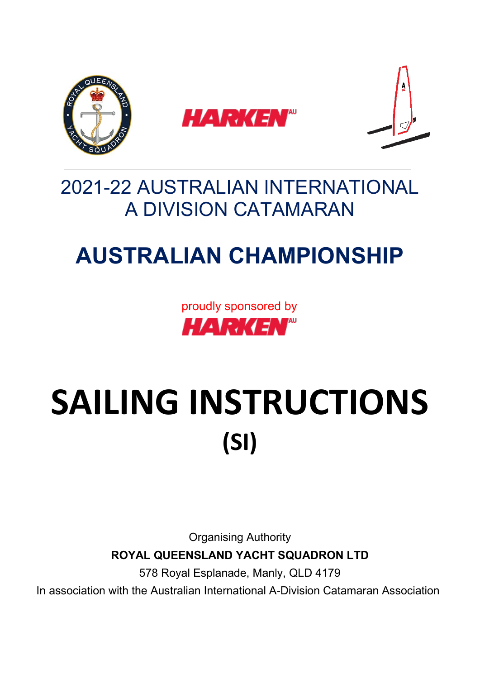

# 2021-22 AUSTRALIAN INTERNATIONAL A DIVISION CATAMARAN

# **AUSTRALIAN CHAMPIONSHIP**

proudly sponsored by **HARKEN**"

# SAILING INSTRUCTIONS **(SI)**

Organising Authority

## **ROYAL QUEENSLAND YACHT SQUADRON LTD**

578 Royal Esplanade, Manly, QLD 4179

In association with the Australian International A-Division Catamaran Association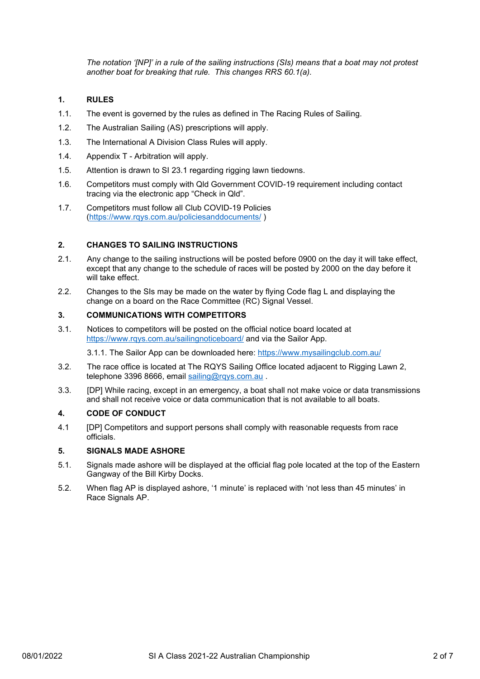*The notation '[NP]' in a rule of the sailing instructions (SIs) means that a boat may not protest another boat for breaking that rule. This changes RRS 60.1(a).* 

#### **1. RULES**

- 1.1. The event is governed by the rules as defined in The Racing Rules of Sailing.
- 1.2. The Australian Sailing (AS) prescriptions will apply.
- 1.3. The International A Division Class Rules will apply.
- 1.4. Appendix T Arbitration will apply.
- 1.5. Attention is drawn to SI 23.1 regarding rigging lawn tiedowns.
- 1.6. Competitors must comply with Qld Government COVID-19 requirement including contact tracing via the electronic app "Check in Qld".
- 1.7. Competitors must follow all Club COVID-19 Policies [\(https://www.rqys.com.au/policiesanddocuments/](https://www.rqys.com.au/policiesanddocuments/) )

#### **2. CHANGES TO SAILING INSTRUCTIONS**

- 2.1. Any change to the sailing instructions will be posted before 0900 on the day it will take effect, except that any change to the schedule of races will be posted by 2000 on the day before it will take effect.
- 2.2. Changes to the SIs may be made on the water by flying Code flag L and displaying the change on a board on the Race Committee (RC) Signal Vessel.

#### **3. COMMUNICATIONS WITH COMPETITORS**

3.1. Notices to competitors will be posted on the official notice board located at <https://www.rqys.com.au/sailingnoticeboard/> and via the Sailor App.

3.1.1. The Sailor App can be downloaded here:<https://www.mysailingclub.com.au/>

- 3.2. The race office is located at The RQYS Sailing Office located adjacent to Rigging Lawn 2, telephone 3396 8666, email sailing@rgys.com.au.
- 3.3. [DP] While racing, except in an emergency, a boat shall not make voice or data transmissions and shall not receive voice or data communication that is not available to all boats.

#### **4. CODE OF CONDUCT**

4.1 [DP] Competitors and support persons shall comply with reasonable requests from race officials.

#### **5. SIGNALS MADE ASHORE**

- 5.1. Signals made ashore will be displayed at the official flag pole located at the top of the Eastern Gangway of the Bill Kirby Docks.
- 5.2. When flag AP is displayed ashore, '1 minute' is replaced with 'not less than 45 minutes' in Race Signals AP.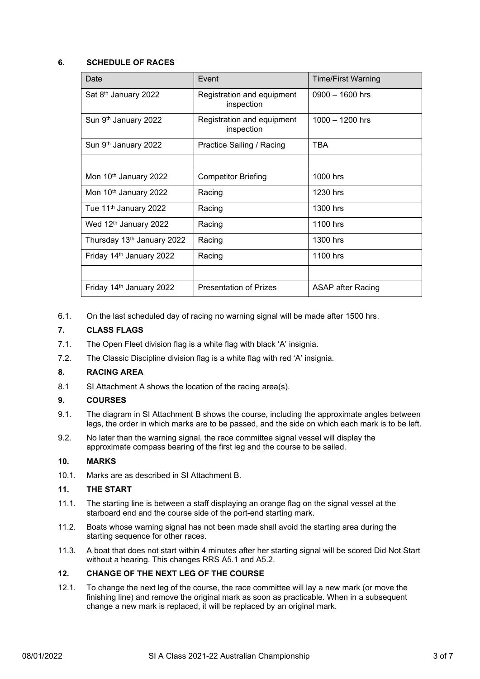#### **6. SCHEDULE OF RACES**

| Date                                   | Event                                    | <b>Time/First Warning</b> |
|----------------------------------------|------------------------------------------|---------------------------|
| Sat 8 <sup>th</sup> January 2022       | Registration and equipment<br>inspection | $0900 - 1600$ hrs         |
| Sun 9 <sup>th</sup> January 2022       | Registration and equipment<br>inspection | $1000 - 1200$ hrs         |
| Sun 9 <sup>th</sup> January 2022       | Practice Sailing / Racing                | TBA                       |
|                                        |                                          |                           |
| Mon 10th January 2022                  | <b>Competitor Briefing</b>               | 1000 hrs                  |
| Mon 10th January 2022                  | Racing                                   | 1230 hrs                  |
| Tue 11 <sup>th</sup> January 2022      | Racing                                   | 1300 hrs                  |
| Wed 12 <sup>th</sup> January 2022      | Racing                                   | 1100 hrs                  |
| Thursday 13 <sup>th</sup> January 2022 | Racing                                   | 1300 hrs                  |
| Friday 14 <sup>th</sup> January 2022   | Racing                                   | 1100 hrs                  |
|                                        |                                          |                           |
| Friday 14 <sup>th</sup> January 2022   | <b>Presentation of Prizes</b>            | ASAP after Racing         |

6.1. On the last scheduled day of racing no warning signal will be made after 1500 hrs.

#### **7. CLASS FLAGS**

- 7.1. The Open Fleet division flag is a white flag with black 'A' insignia.
- 7.2. The Classic Discipline division flag is a white flag with red 'A' insignia.

#### **8. RACING AREA**

8.1 SI Attachment A shows the location of the racing area(s).

#### **9. COURSES**

- 9.1. The diagram in SI Attachment B shows the course, including the approximate angles between legs, the order in which marks are to be passed, and the side on which each mark is to be left.
- 9.2. No later than the warning signal, the race committee signal vessel will display the approximate compass bearing of the first leg and the course to be sailed.

#### **10. MARKS**

10.1. Marks are as described in SI Attachment B.

#### **11. THE START**

- 11.1. The starting line is between a staff displaying an orange flag on the signal vessel at the starboard end and the course side of the port-end starting mark.
- 11.2. Boats whose warning signal has not been made shall avoid the starting area during the starting sequence for other races.
- 11.3. A boat that does not start within 4 minutes after her starting signal will be scored Did Not Start without a hearing. This changes RRS A5.1 and A5.2.

#### **12. CHANGE OF THE NEXT LEG OF THE COURSE**

12.1. To change the next leg of the course, the race committee will lay a new mark (or move the finishing line) and remove the original mark as soon as practicable. When in a subsequent change a new mark is replaced, it will be replaced by an original mark.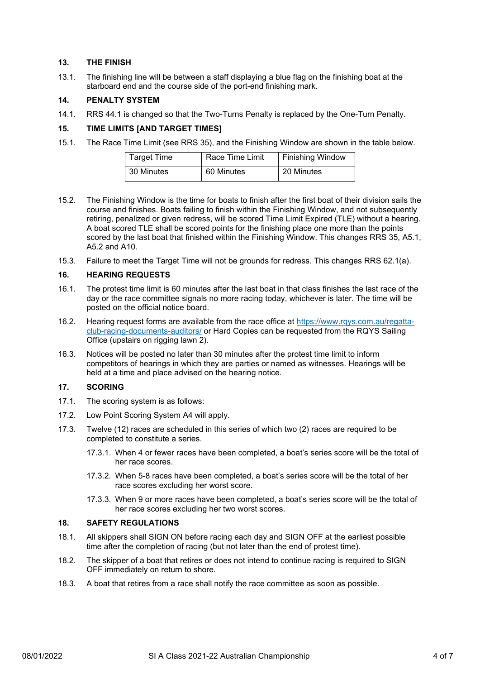#### **13. THE FINISH**

13.1. The finishing line will be between a staff displaying a blue flag on the finishing boat at the starboard end and the course side of the port-end finishing mark.

#### **14. PENALTY SYSTEM**

14.1. RRS 44.1 is changed so that the Two-Turns Penalty is replaced by the One-Turn Penalty.

#### **15. TIME LIMITS [AND TARGET TIMES]**

15.1. The Race Time Limit (see RRS 35), and the Finishing Window are shown in the table below.

| Target Time | Race Time Limit | <b>Finishing Window</b> |
|-------------|-----------------|-------------------------|
| 30 Minutes  | 60 Minutes      | 20 Minutes              |

- 15.2. The Finishing Window is the time for boats to finish after the first boat of their division sails the course and finishes. Boats failing to finish within the Finishing Window, and not subsequently retiring, penalized or given redress, will be scored Time Limit Expired (TLE) without a hearing. A boat scored TLE shall be scored points for the finishing place one more than the points scored by the last boat that finished within the Finishing Window. This changes RRS 35, A5.1, A5.2 and A10.
- 15.3. Failure to meet the Target Time will not be grounds for redress. This changes RRS 62.1(a).

#### **16. HEARING REQUESTS**

- 16.1. The protest time limit is 60 minutes after the last boat in that class finishes the last race of the day or the race committee signals no more racing today, whichever is later. The time will be posted on the official notice board.
- 16.2. Hearing request forms are available from the race office at [https://www.rqys.com.au/regatta](https://www.rqys.com.au/regatta-club-racing-documents-auditors/)[club-racing-documents-auditors/](https://www.rqys.com.au/regatta-club-racing-documents-auditors/) or Hard Copies can be requested from the RQYS Sailing Office (upstairs on rigging lawn 2).
- 16.3. Notices will be posted no later than 30 minutes after the protest time limit to inform competitors of hearings in which they are parties or named as witnesses. Hearings will be held at a time and place advised on the hearing notice.

#### **17. SCORING**

- 17.1. The scoring system is as follows:
- 17.2. Low Point Scoring System A4 will apply.
- 17.3. Twelve (12) races are scheduled in this series of which two (2) races are required to be completed to constitute a series.
	- 17.3.1. When 4 or fewer races have been completed, a boat's series score will be the total of her race scores.
	- 17.3.2. When 5-8 races have been completed, a boat's series score will be the total of her race scores excluding her worst score.
	- 17.3.3. When 9 or more races have been completed, a boat's series score will be the total of her race scores excluding her two worst scores.

#### **18. SAFETY REGULATIONS**

- 18.1. All skippers shall SIGN ON before racing each day and SIGN OFF at the earliest possible time after the completion of racing (but not later than the end of protest time).
- 18.2. The skipper of a boat that retires or does not intend to continue racing is required to SIGN OFF immediately on return to shore.
- 18.3. A boat that retires from a race shall notify the race committee as soon as possible.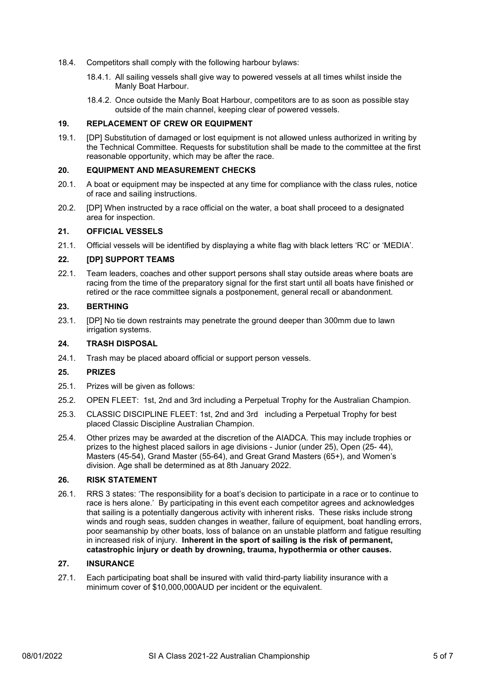- 18.4. Competitors shall comply with the following harbour bylaws:
	- 18.4.1. All sailing vessels shall give way to powered vessels at all times whilst inside the Manly Boat Harbour.
	- 18.4.2. Once outside the Manly Boat Harbour, competitors are to as soon as possible stay outside of the main channel, keeping clear of powered vessels.

#### **19. REPLACEMENT OF CREW OR EQUIPMENT**

19.1. [DP] Substitution of damaged or lost equipment is not allowed unless authorized in writing by the Technical Committee. Requests for substitution shall be made to the committee at the first reasonable opportunity, which may be after the race.

#### **20. EQUIPMENT AND MEASUREMENT CHECKS**

- 20.1. A boat or equipment may be inspected at any time for compliance with the class rules, notice of race and sailing instructions.
- 20.2. [DP] When instructed by a race official on the water, a boat shall proceed to a designated area for inspection.

#### **21. OFFICIAL VESSELS**

21.1. Official vessels will be identified by displaying a white flag with black letters 'RC' or 'MEDIA'.

#### **22. [DP] SUPPORT TEAMS**

22.1. Team leaders, coaches and other support persons shall stay outside areas where boats are racing from the time of the preparatory signal for the first start until all boats have finished or retired or the race committee signals a postponement, general recall or abandonment.

#### **23. BERTHING**

23.1. [DP] No tie down restraints may penetrate the ground deeper than 300mm due to lawn irrigation systems.

#### **24. TRASH DISPOSAL**

24.1. Trash may be placed aboard official or support person vessels.

#### **25. PRIZES**

- 25.1. Prizes will be given as follows:
- 25.2. OPEN FLEET: 1st, 2nd and 3rd including a Perpetual Trophy for the Australian Champion.
- 25.3. CLASSIC DISCIPLINE FLEET: 1st, 2nd and 3rd including a Perpetual Trophy for best placed Classic Discipline Australian Champion.
- 25.4. Other prizes may be awarded at the discretion of the AIADCA. This may include trophies or prizes to the highest placed sailors in age divisions - Junior (under 25), Open (25- 44), Masters (45-54), Grand Master (55-64), and Great Grand Masters (65+), and Women's division. Age shall be determined as at 8th January 2022.

#### **26. RISK STATEMENT**

26.1. RRS 3 states: 'The responsibility for a boat's decision to participate in a race or to continue to race is hers alone.' By participating in this event each competitor agrees and acknowledges that sailing is a potentially dangerous activity with inherent risks. These risks include strong winds and rough seas, sudden changes in weather, failure of equipment, boat handling errors, poor seamanship by other boats, loss of balance on an unstable platform and fatigue resulting in increased risk of injury. **Inherent in the sport of sailing is the risk of permanent, catastrophic injury or death by drowning, trauma, hypothermia or other causes.**

#### **27. INSURANCE**

27.1. Each participating boat shall be insured with valid third-party liability insurance with a minimum cover of \$10,000,000AUD per incident or the equivalent.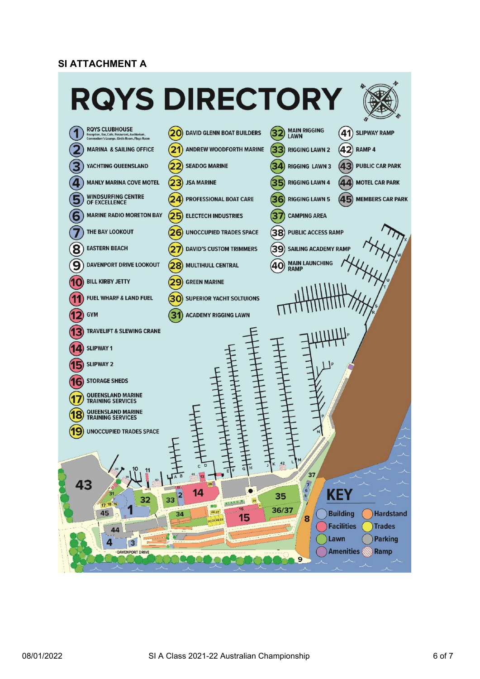### **SI ATTACHMENT A**